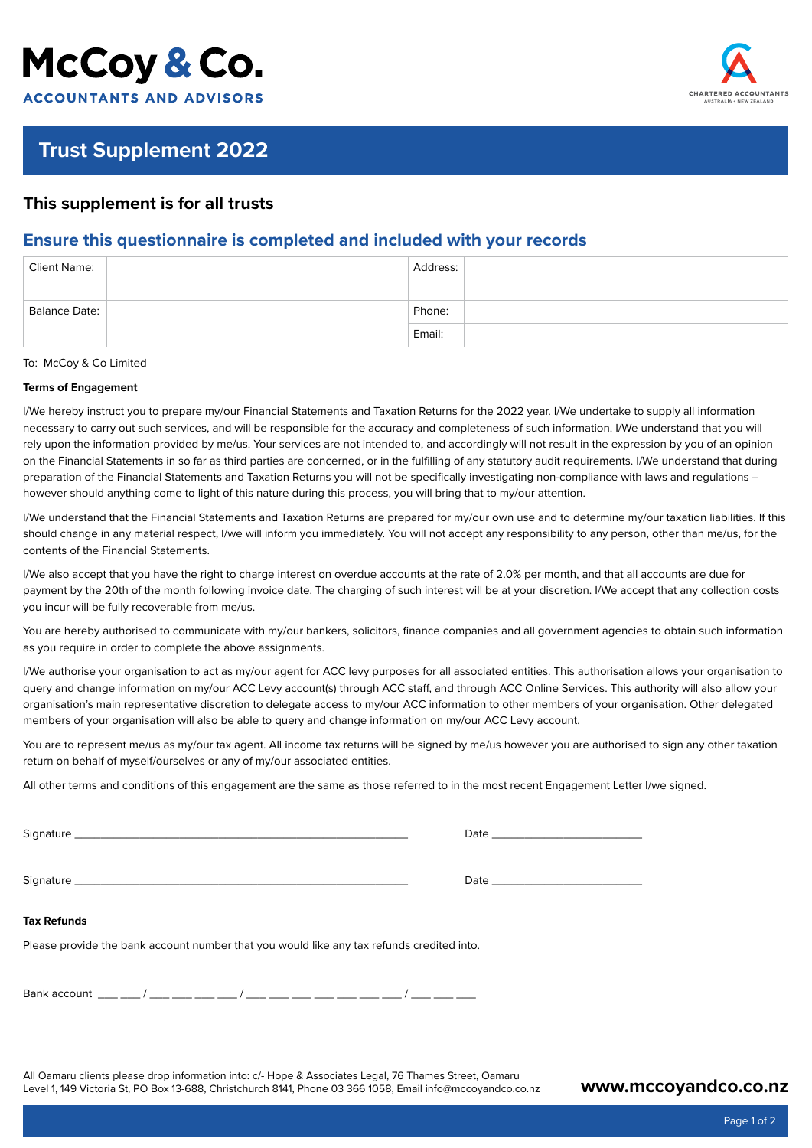# McCoy & Co. **ACCOUNTANTS AND ADVISORS**



## **Trust Supplement 2022**

## **This supplement is for all trusts**

## **Ensure this questionnaire is completed and included with your records**

| <b>Client Name:</b> | Address: |
|---------------------|----------|
| Balance Date:       | Phone:   |
|                     | Email:   |

To: McCoy & Co Limited

### **Terms of Engagement**

I/We hereby instruct you to prepare my/our Financial Statements and Taxation Returns for the 2022 year. I/We undertake to supply all information necessary to carry out such services, and will be responsible for the accuracy and completeness of such information. I/We understand that you will rely upon the information provided by me/us. Your services are not intended to, and accordingly will not result in the expression by you of an opinion on the Financial Statements in so far as third parties are concerned, or in the fulfilling of any statutory audit requirements. I/We understand that during preparation of the Financial Statements and Taxation Returns you will not be specifically investigating non-compliance with laws and regulations – however should anything come to light of this nature during this process, you will bring that to my/our attention.

I/We understand that the Financial Statements and Taxation Returns are prepared for my/our own use and to determine my/our taxation liabilities. If this should change in any material respect, I/we will inform you immediately. You will not accept any responsibility to any person, other than me/us, for the contents of the Financial Statements.

I/We also accept that you have the right to charge interest on overdue accounts at the rate of 2.0% per month, and that all accounts are due for payment by the 20th of the month following invoice date. The charging of such interest will be at your discretion. I/We accept that any collection costs you incur will be fully recoverable from me/us.

You are hereby authorised to communicate with my/our bankers, solicitors, finance companies and all government agencies to obtain such information as you require in order to complete the above assignments.

I/We authorise your organisation to act as my/our agent for ACC levy purposes for all associated entities. This authorisation allows your organisation to query and change information on my/our ACC Levy account(s) through ACC staff, and through ACC Online Services. This authority will also allow your organisation's main representative discretion to delegate access to my/our ACC information to other members of your organisation. Other delegated members of your organisation will also be able to query and change information on my/our ACC Levy account.

You are to represent me/us as my/our tax agent. All income tax returns will be signed by me/us however you are authorised to sign any other taxation return on behalf of myself/ourselves or any of my/our associated entities.

All other terms and conditions of this engagement are the same as those referred to in the most recent Engagement Letter I/we signed.

| Tax Refunds                                                                               |  |
|-------------------------------------------------------------------------------------------|--|
| Please provide the bank account number that you would like any tax refunds credited into. |  |
| Bank account ___ ___ / ___ ___ ___ / ___ ___ / ___ ___ ___ ___ ___ / ___ ___ /___         |  |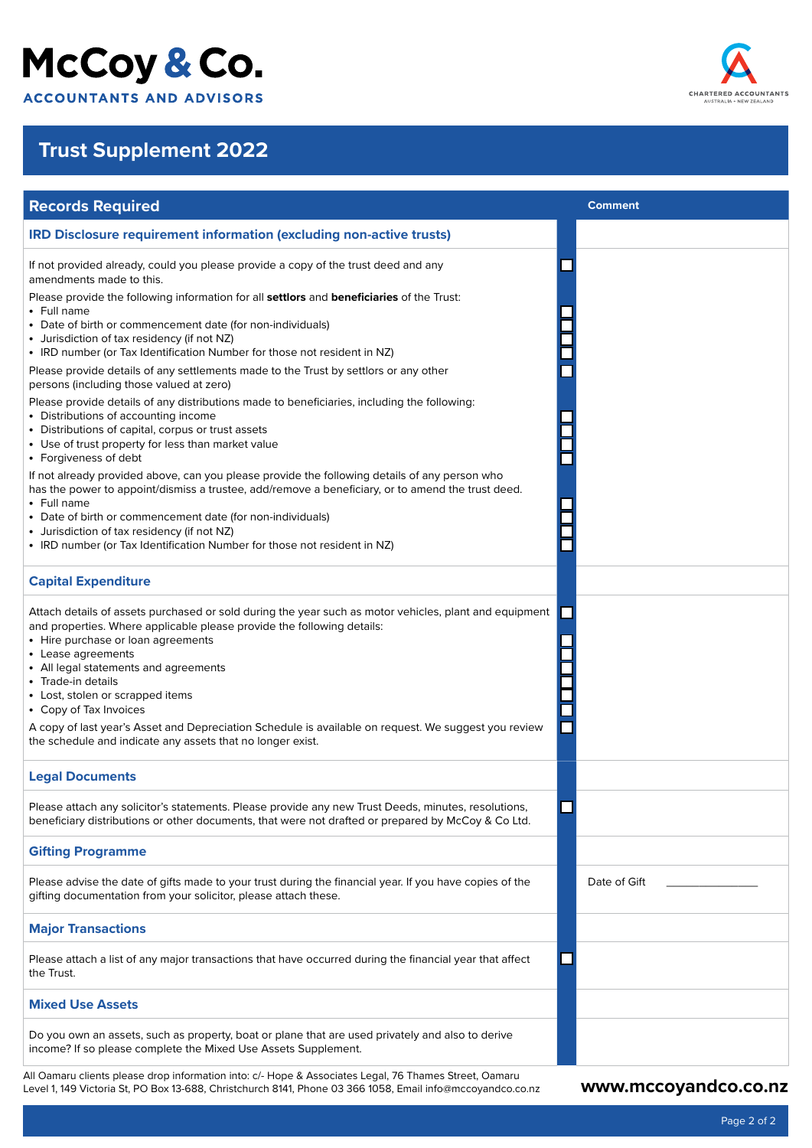# McCoy & Co.

**ACCOUNTANTS AND ADVISORS** 

# **Trust Supplement 2022**

| <b>Records Required</b>                                                                                                                                                                                                                                                                                                                                                                                                                                                                                                                         | <b>Comment</b> |
|-------------------------------------------------------------------------------------------------------------------------------------------------------------------------------------------------------------------------------------------------------------------------------------------------------------------------------------------------------------------------------------------------------------------------------------------------------------------------------------------------------------------------------------------------|----------------|
| <b>IRD Disclosure requirement information (excluding non-active trusts)</b>                                                                                                                                                                                                                                                                                                                                                                                                                                                                     |                |
| If not provided already, could you please provide a copy of the trust deed and any<br>amendments made to this.                                                                                                                                                                                                                                                                                                                                                                                                                                  |                |
| Please provide the following information for all settlors and beneficiaries of the Trust:<br>• Full name                                                                                                                                                                                                                                                                                                                                                                                                                                        |                |
| • Date of birth or commencement date (for non-individuals)<br>• Jurisdiction of tax residency (if not NZ)<br>• IRD number (or Tax Identification Number for those not resident in NZ)                                                                                                                                                                                                                                                                                                                                                           |                |
| Please provide details of any settlements made to the Trust by settlors or any other<br>persons (including those valued at zero)                                                                                                                                                                                                                                                                                                                                                                                                                |                |
| Please provide details of any distributions made to beneficiaries, including the following:<br>• Distributions of accounting income<br>• Distributions of capital, corpus or trust assets<br>• Use of trust property for less than market value<br>• Forgiveness of debt                                                                                                                                                                                                                                                                        |                |
| If not already provided above, can you please provide the following details of any person who<br>has the power to appoint/dismiss a trustee, add/remove a beneficiary, or to amend the trust deed.<br>• Full name<br>• Date of birth or commencement date (for non-individuals)<br>• Jurisdiction of tax residency (if not NZ)                                                                                                                                                                                                                  |                |
| • IRD number (or Tax Identification Number for those not resident in NZ)                                                                                                                                                                                                                                                                                                                                                                                                                                                                        |                |
| <b>Capital Expenditure</b>                                                                                                                                                                                                                                                                                                                                                                                                                                                                                                                      |                |
| Attach details of assets purchased or sold during the year such as motor vehicles, plant and equipment<br>and properties. Where applicable please provide the following details:<br>• Hire purchase or loan agreements<br>• Lease agreements<br>• All legal statements and agreements<br>• Trade-in details<br>• Lost, stolen or scrapped items<br>• Copy of Tax Invoices<br>A copy of last year's Asset and Depreciation Schedule is available on request. We suggest you review<br>the schedule and indicate any assets that no longer exist. |                |
| <b>Legal Documents</b>                                                                                                                                                                                                                                                                                                                                                                                                                                                                                                                          |                |
| Please attach any solicitor's statements. Please provide any new Trust Deeds, minutes, resolutions,<br>beneficiary distributions or other documents, that were not drafted or prepared by McCoy & Co Ltd.                                                                                                                                                                                                                                                                                                                                       |                |
| <b>Gifting Programme</b>                                                                                                                                                                                                                                                                                                                                                                                                                                                                                                                        |                |
| Please advise the date of gifts made to your trust during the financial year. If you have copies of the<br>gifting documentation from your solicitor, please attach these.                                                                                                                                                                                                                                                                                                                                                                      | Date of Gift   |
| <b>Major Transactions</b>                                                                                                                                                                                                                                                                                                                                                                                                                                                                                                                       |                |
| Please attach a list of any major transactions that have occurred during the financial year that affect<br>the Trust.                                                                                                                                                                                                                                                                                                                                                                                                                           |                |
| <b>Mixed Use Assets</b>                                                                                                                                                                                                                                                                                                                                                                                                                                                                                                                         |                |
| Do you own an assets, such as property, boat or plane that are used privately and also to derive<br>income? If so please complete the Mixed Use Assets Supplement.                                                                                                                                                                                                                                                                                                                                                                              |                |